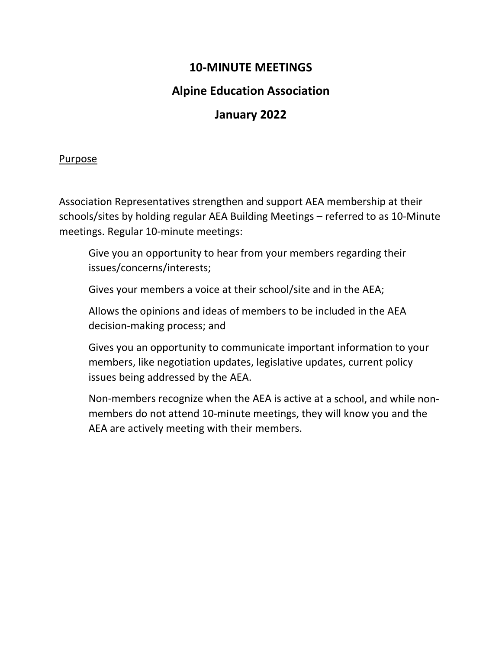## **10‐MINUTE MEETINGS**

## **Alpine Education Association**

## **January 2022**

## Purpose

Association Representatives strengthen and support AEA membership at their schools/sites by holding regular AEA Building Meetings – referred to as 10‐Minute meetings. Regular 10‐minute meetings:

Give you an opportunity to hear from your members regarding their issues/concerns/interests;

Gives your members a voice at their school/site and in the AEA;

Allows the opinions and ideas of members to be included in the AEA decision‐making process; and

Gives you an opportunity to communicate important information to your members, like negotiation updates, legislative updates, current policy issues being addressed by the AEA.

Non‐members recognize when the AEA is active at a school, and while non‐ members do not attend 10‐minute meetings, they will know you and the AEA are actively meeting with their members.